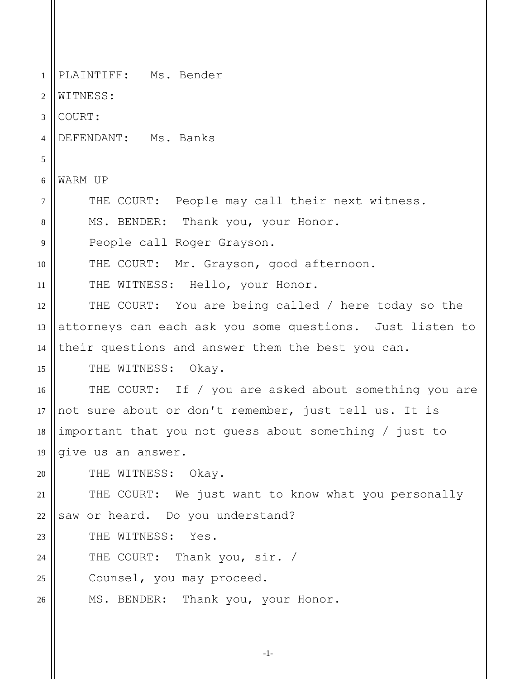1 2 3 4 5 6 7 8 9 10 11 12 13 14 15 16 17 18 19 20 21 22 23 24 25 26 PLAINTIFF: Ms. Bender WITNESS: COURT: DEFENDANT: Ms. Banks WARM UP THE COURT: People may call their next witness. MS. BENDER: Thank you, your Honor. People call Roger Grayson. THE COURT: Mr. Grayson, good afternoon. THE WITNESS: Hello, your Honor. THE COURT: You are being called / here today so the attorneys can each ask you some questions. Just listen to their questions and answer them the best you can. THE WITNESS: Okay. THE COURT: If / you are asked about something you are not sure about or don't remember, just tell us. It is important that you not guess about something / just to give us an answer. THE WITNESS: Okay. THE COURT: We just want to know what you personally saw or heard. Do you understand? THE WITNESS: Yes. THE COURT: Thank you, sir. / Counsel, you may proceed. MS. BENDER: Thank you, your Honor.

-1-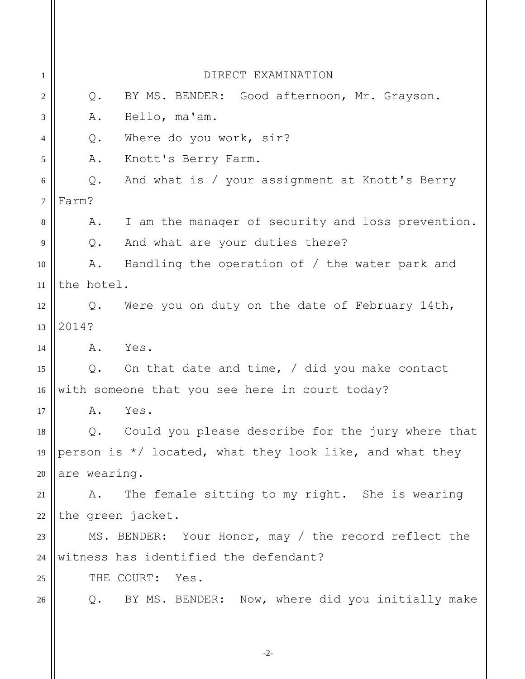| 1              |                                                          | DIRECT EXAMINATION                                   |
|----------------|----------------------------------------------------------|------------------------------------------------------|
| $\overline{2}$ | $Q$ .                                                    | BY MS. BENDER: Good afternoon, Mr. Grayson.          |
| 3              | Α.                                                       | Hello, ma'am.                                        |
| 4              | $Q$ .                                                    | Where do you work, sir?                              |
| 5              | Α.                                                       | Knott's Berry Farm.                                  |
| 6              | Q.                                                       | And what is / your assignment at Knott's Berry       |
| $\overline{7}$ | Farm?                                                    |                                                      |
| 8              | Α.                                                       | I am the manager of security and loss prevention.    |
| 9              | $Q$ .                                                    | And what are your duties there?                      |
| 10             | Α.                                                       | Handling the operation of / the water park and       |
| 11             | the hotel.                                               |                                                      |
| 12             | Q.                                                       | Were you on duty on the date of February 14th,       |
| 13             | 2014?                                                    |                                                      |
| 14             | Α.                                                       | Yes.                                                 |
| 15             | $Q_{\bullet}$                                            | On that date and time, / did you make contact        |
| 16             |                                                          | with someone that you see here in court today?       |
| 17             | Α.                                                       | Yes.                                                 |
| 18             | $Q$ .                                                    | Could you please describe for the jury where that    |
| 19             | person is */ located, what they look like, and what they |                                                      |
| 20             | are wearing.                                             |                                                      |
| 21             | A.                                                       | The female sitting to my right. She is wearing       |
| 22             | the green jacket.                                        |                                                      |
| 23             |                                                          | MS. BENDER: Your Honor, may / the record reflect the |
| 24             | witness has identified the defendant?                    |                                                      |
| 25             |                                                          | THE COURT:<br>Yes.                                   |
| 26             |                                                          | Q. BY MS. BENDER: Now, where did you initially make  |
|                |                                                          |                                                      |

-2-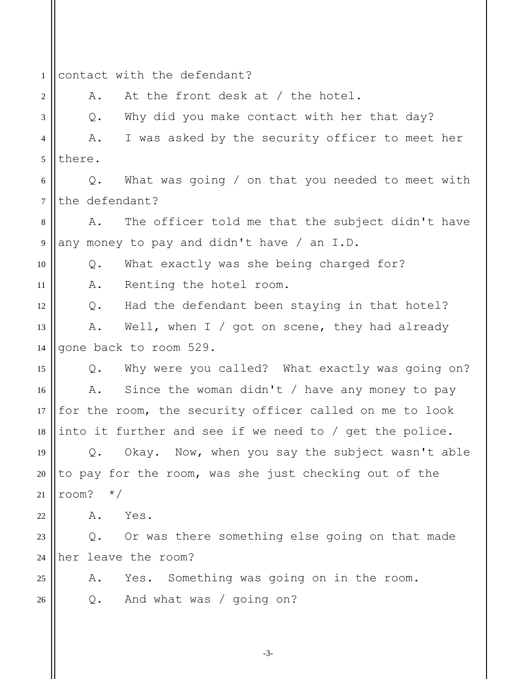1 2 3 4 5 6 7 8 9 10 11 12 13 14 15 16 17 18 19 20 21 22 23 24 25 26 contact with the defendant? A. At the front desk at / the hotel. Q. Why did you make contact with her that day? A. I was asked by the security officer to meet her there. Q. What was going / on that you needed to meet with the defendant? A. The officer told me that the subject didn't have any money to pay and didn't have / an I.D. Q. What exactly was she being charged for? A. Renting the hotel room. Q. Had the defendant been staying in that hotel? A. Well, when I / got on scene, they had already gone back to room 529. Q. Why were you called? What exactly was going on? A. Since the woman didn't / have any money to pay for the room, the security officer called on me to look into it further and see if we need to / get the police. Q. Okay. Now, when you say the subject wasn't able to pay for the room, was she just checking out of the room? \*/ A. Yes. Q. Or was there something else going on that made her leave the room? A. Yes. Something was going on in the room. Q. And what was / going on?

-3-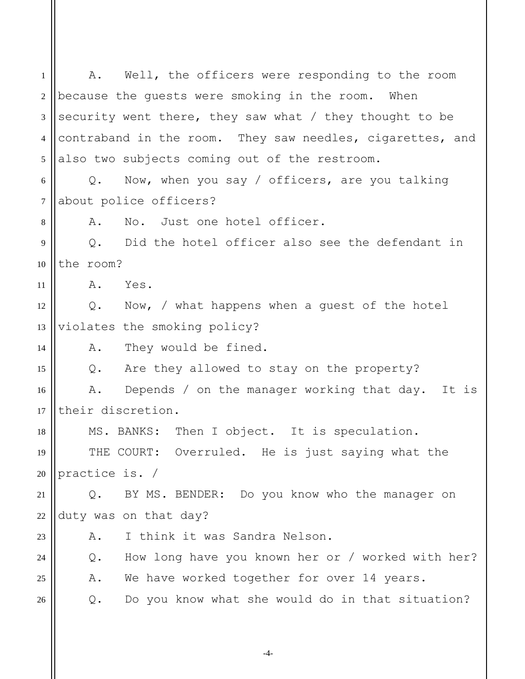1 2 3 4 5 6 7 8 9 10 11 12 13 14 15 16 17 18 19 20 21 22 23 24 25 26 A. Well, the officers were responding to the room because the guests were smoking in the room. When security went there, they saw what / they thought to be contraband in the room. They saw needles, cigarettes, and also two subjects coming out of the restroom. Q. Now, when you say / officers, are you talking about police officers? A. No. Just one hotel officer. Q. Did the hotel officer also see the defendant in the room? A. Yes. Q. Now, / what happens when a guest of the hotel violates the smoking policy? A. They would be fined. Q. Are they allowed to stay on the property? A. Depends / on the manager working that day. It is their discretion. MS. BANKS: Then I object. It is speculation. THE COURT: Overruled. He is just saying what the practice is. / Q. BY MS. BENDER: Do you know who the manager on duty was on that day? A. I think it was Sandra Nelson. Q. How long have you known her or / worked with her? A. We have worked together for over 14 years. Q. Do you know what she would do in that situation?

-4-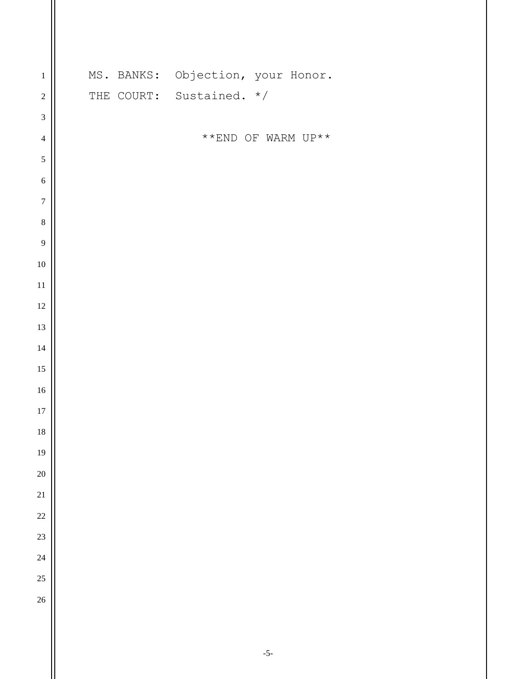| $\,1\,$          | MS. BANKS: Objection, your Honor.        |
|------------------|------------------------------------------|
| $\sqrt{2}$       | THE COURT: Sustained. */                 |
| $\mathfrak{Z}$   |                                          |
| $\overline{4}$   | $^{\star\;\star} {\tt END}$ OF WARM UP** |
| $\sqrt{5}$       |                                          |
| $\sqrt{6}$       |                                          |
| $\boldsymbol{7}$ |                                          |
| $\,8\,$          |                                          |
| $\overline{9}$   |                                          |
| $10\,$           |                                          |
| $11\,$           |                                          |
| $12\,$           |                                          |
| $13\,$           |                                          |
| $14\,$           |                                          |
| $15\,$           |                                          |
| $16\,$           |                                          |
| $17\,$           |                                          |
| 18               |                                          |
| 19               |                                          |
| $20\,$           |                                          |
| $21\,$           |                                          |
| $22\,$           |                                          |
| $23\,$           |                                          |
| $24\,$           |                                          |
| $25\,$           |                                          |
| $26\,$           |                                          |
|                  |                                          |
|                  |                                          |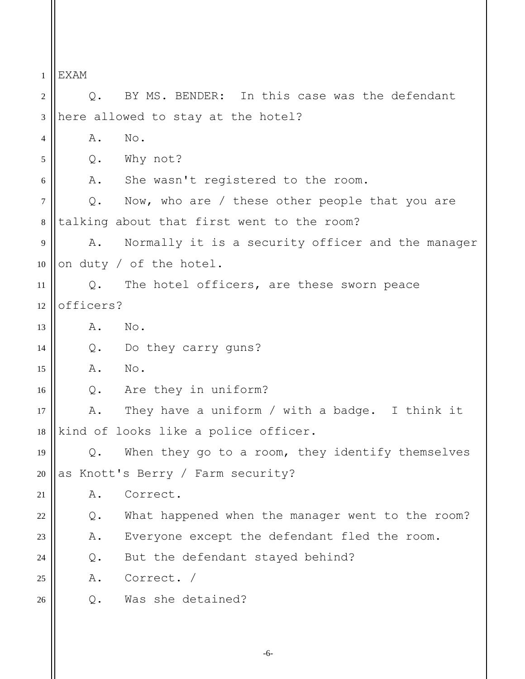1 2 3 4 5 6 7 8 9 10 11 12 13 14 15 16 17 18 19 20 21 22 23 24 25 26 EXAM Q. BY MS. BENDER: In this case was the defendant here allowed to stay at the hotel? A. No. Q. Why not? A. She wasn't registered to the room. Q. Now, who are / these other people that you are talking about that first went to the room? A. Normally it is a security officer and the manager on duty / of the hotel. Q. The hotel officers, are these sworn peace officers? A. No. Q. Do they carry guns? A. No. Q. Are they in uniform? A. They have a uniform / with a badge. I think it kind of looks like a police officer. Q. When they go to a room, they identify themselves as Knott's Berry / Farm security? A. Correct. Q. What happened when the manager went to the room? A. Everyone except the defendant fled the room. Q. But the defendant stayed behind? A. Correct. / Q. Was she detained?

-6-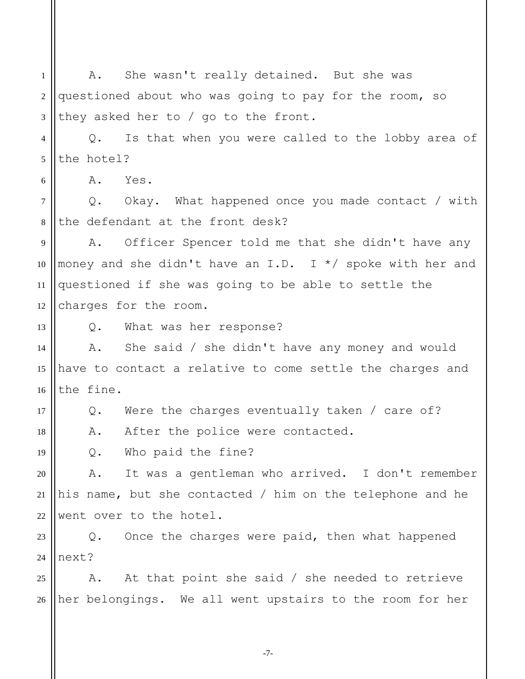2 3 4 5 6 7 8 9 10 11 12 13 14 15 16 17 18 19 20 21 22 23 24 25 26 questioned about who was going to pay for the room, so they asked her to / go to the front. Q. Is that when you were called to the lobby area of the hotel? A. Yes. Q. Okay. What happened once you made contact / with the defendant at the front desk? A. Officer Spencer told me that she didn't have any money and she didn't have an I.D. I \*/ spoke with her and questioned if she was going to be able to settle the charges for the room. Q. What was her response? A. She said / she didn't have any money and would have to contact a relative to come settle the charges and the fine. Q. Were the charges eventually taken / care of? A. After the police were contacted. Q. Who paid the fine? A. It was a gentleman who arrived. I don't remember his name, but she contacted / him on the telephone and he went over to the hotel. Q. Once the charges were paid, then what happened next? A. At that point she said / she needed to retrieve her belongings. We all went upstairs to the room for her

A. She wasn't really detained. But she was

1

-7-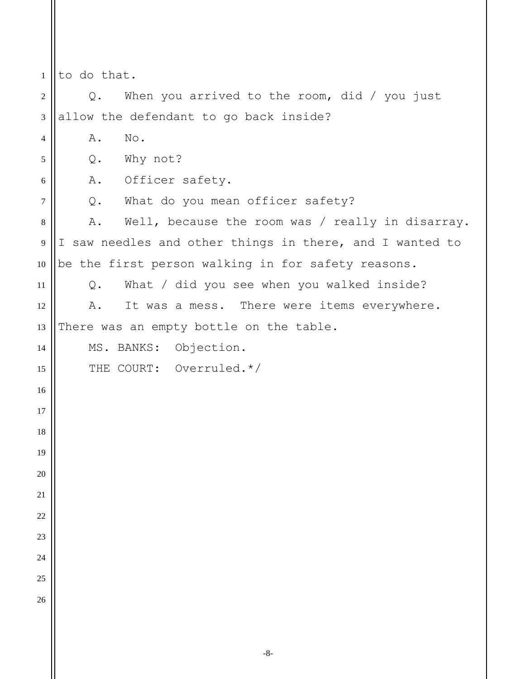to do that.

 Q. When you arrived to the room, did / you just allow the defendant to go back inside?

 A. No.

Q. Why not?

A. Officer safety.

Q. What do you mean officer safety?

 A. Well, because the room was / really in disarray. I saw needles and other things in there, and I wanted to be the first person walking in for safety reasons.

 Q. What / did you see when you walked inside? A. It was a mess. There were items everywhere.

 There was an empty bottle on the table.

MS. BANKS: Objection.

THE COURT: Overruled.\*/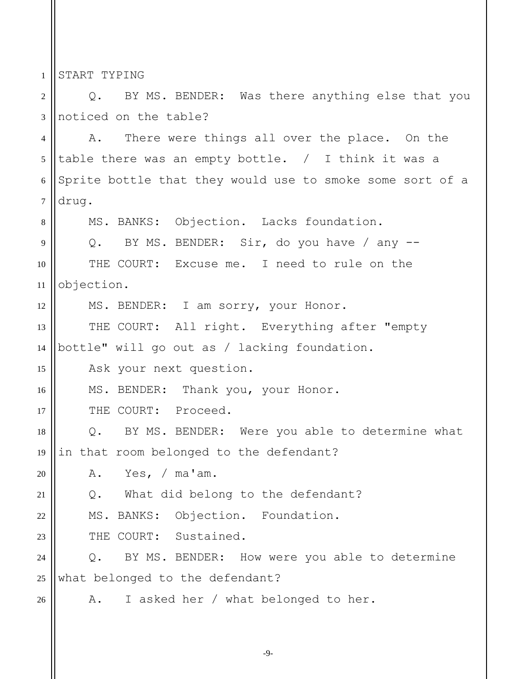1 START TYPING

2 3 Q. BY MS. BENDER: Was there anything else that you noticed on the table?

4 5 6 7 A. There were things all over the place. On the table there was an empty bottle. / I think it was a Sprite bottle that they would use to smoke some sort of a drug.

MS. BANKS: Objection. Lacks foundation.

Q. BY MS. BENDER: Sir, do you have / any --

10 11 THE COURT: Excuse me. I need to rule on the objection.

MS. BENDER: I am sorry, your Honor.

13 THE COURT: All right. Everything after "empty

14 bottle" will go out as / lacking foundation.

Ask your next question.

MS. BENDER: Thank you, your Honor.

17 THE COURT: Proceed.

18 19 Q. BY MS. BENDER: Were you able to determine what in that room belonged to the defendant?

20 A. Yes, / ma'am.

21 Q. What did belong to the defendant?

22 MS. BANKS: Objection. Foundation.

23 THE COURT: Sustained.

24 25 Q. BY MS. BENDER: How were you able to determine what belonged to the defendant?

26

8

9

12

15

16

A. I asked her / what belonged to her.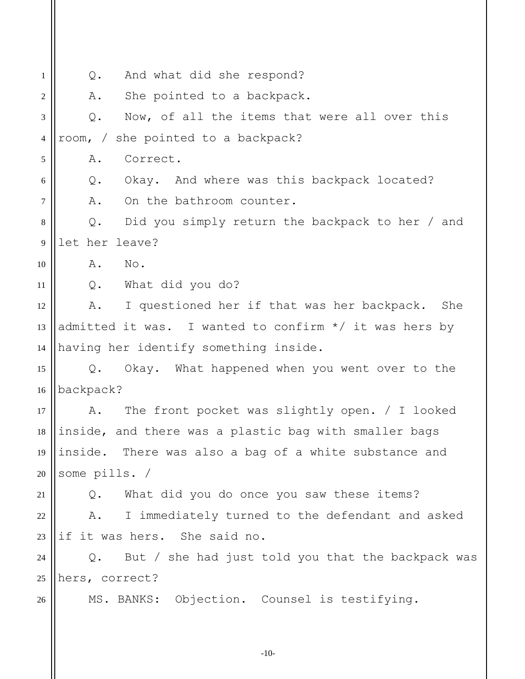| 1              | Q.             | And what did she respond?                                |
|----------------|----------------|----------------------------------------------------------|
| $\overline{2}$ | Α.             | She pointed to a backpack.                               |
| 3              | $Q$ .          | Now, of all the items that were all over this            |
| $\overline{4}$ |                | room, / she pointed to a backpack?                       |
| 5              | Α.             | Correct.                                                 |
| 6              | Q.             | Okay. And where was this backpack located?               |
| $\overline{7}$ | Α.             | On the bathroom counter.                                 |
| $\,8\,$        | $Q$ .          | Did you simply return the backpack to her / and          |
| 9              | let her leave? |                                                          |
| 10             | Α.             | No.                                                      |
| 11             |                | Q. What did you do?                                      |
| 12             | Α.             | I questioned her if that was her backpack.<br>She        |
| 13             |                | admitted it was. I wanted to confirm $*/$ it was hers by |
| 14             |                | having her identify something inside.                    |
| 15             | Q.             | Okay. What happened when you went over to the            |
| 16             | backpack?      |                                                          |
| 17             | Α.             | The front pocket was slightly open. / I looked           |
| 18             |                | inside, and there was a plastic bag with smaller bags    |
| 19             |                | inside. There was also a bag of a white substance and    |
| 20             | some pills. /  |                                                          |
| 21             |                | Q. What did you do once you saw these items?             |
| 22             | A.             | I immediately turned to the defendant and asked          |
| 23             |                | if it was hers. She said no.                             |
| 24             |                | Q. But / she had just told you that the backpack was     |
| 25             | hers, correct? |                                                          |
| 26             |                | MS. BANKS: Objection. Counsel is testifying.             |
|                |                |                                                          |

-10-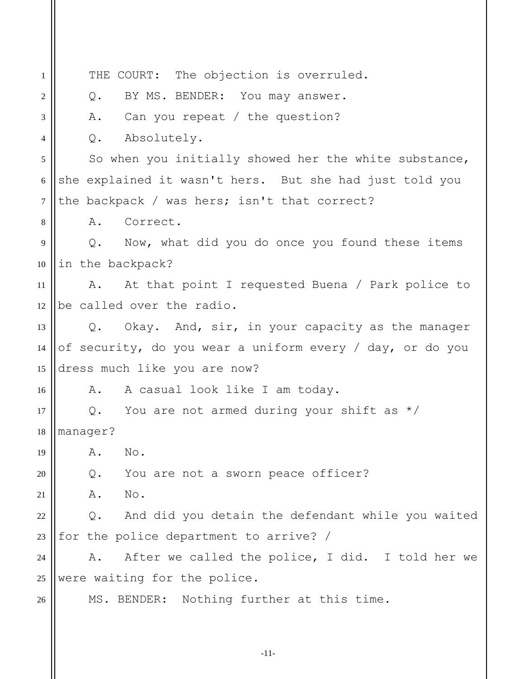| 1              | THE COURT: The objection is overruled.                     |
|----------------|------------------------------------------------------------|
| $\sqrt{2}$     | BY MS. BENDER: You may answer.<br>Q.                       |
| 3              | Can you repeat / the question?<br>Α.                       |
| $\overline{4}$ | Absolutely.<br>Q.                                          |
| 5              | So when you initially showed her the white substance,      |
| 6              | she explained it wasn't hers. But she had just told you    |
| $\overline{7}$ | the backpack / was hers; isn't that correct?               |
| 8              | Α.<br>Correct.                                             |
| 9              | Q. Now, what did you do once you found these items         |
| 10             | in the backpack?                                           |
| 11             | At that point I requested Buena / Park police to<br>A.     |
| 12             | be called over the radio.                                  |
| 13             | Q. Okay. And, sir, in your capacity as the manager         |
| 14             | of security, do you wear a uniform every / day, or do you  |
| 15             | dress much like you are now?                               |
| 16             | A. A casual look like I am today.                          |
| 17             | Q. You are not armed during your shift as $*/$             |
| 18             | manager?                                                   |
| 19             | Α.<br>No.                                                  |
| 20             | You are not a sworn peace officer?<br>Q.                   |
| 21             | No.<br>Α.                                                  |
| 22             | And did you detain the defendant while you waited<br>$Q$ . |
| 23             | for the police department to arrive? /                     |
| 24             | After we called the police, I did. I told her we<br>Α.     |
| 25             | were waiting for the police.                               |
| 26             | MS. BENDER: Nothing further at this time.                  |
|                |                                                            |

-11-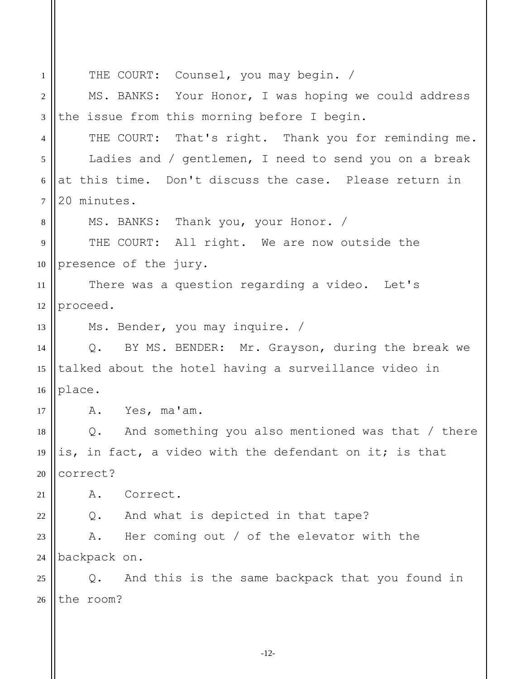| $\mathbf{1}$   | THE COURT: Counsel, you may begin. /                    |  |
|----------------|---------------------------------------------------------|--|
| 2              | MS. BANKS: Your Honor, I was hoping we could address    |  |
| $\mathfrak{Z}$ | the issue from this morning before I begin.             |  |
| 4              | THE COURT: That's right. Thank you for reminding me.    |  |
| 5              | Ladies and / gentlemen, I need to send you on a break   |  |
| 6              | at this time. Don't discuss the case. Please return in  |  |
| $\tau$         | 20 minutes.                                             |  |
| 8              | MS. BANKS: Thank you, your Honor. /                     |  |
| 9              | THE COURT: All right. We are now outside the            |  |
| 10             | presence of the jury.                                   |  |
| 11             | There was a question regarding a video. Let's           |  |
| 12             | proceed.                                                |  |
| 13             | Ms. Bender, you may inquire. /                          |  |
| 14             | Q. BY MS. BENDER: Mr. Grayson, during the break we      |  |
| 15             | talked about the hotel having a surveillance video in   |  |
| 16             | place.                                                  |  |
| 17             | A. Yes, ma'am.                                          |  |
| 18             | And something you also mentioned was that / there<br>Q. |  |
| 19             | is, in fact, a video with the defendant on it; is that  |  |
| 20             | correct?                                                |  |
| 21             | Correct.<br>Α.                                          |  |
| 22             | And what is depicted in that tape?<br>$\mathsf{Q}$ .    |  |
| 23             | Her coming out / of the elevator with the<br>Α.         |  |
| 24             | backpack on.                                            |  |
| 25             | And this is the same backpack that you found in<br>Q.   |  |
| 26             | the room?                                               |  |
|                |                                                         |  |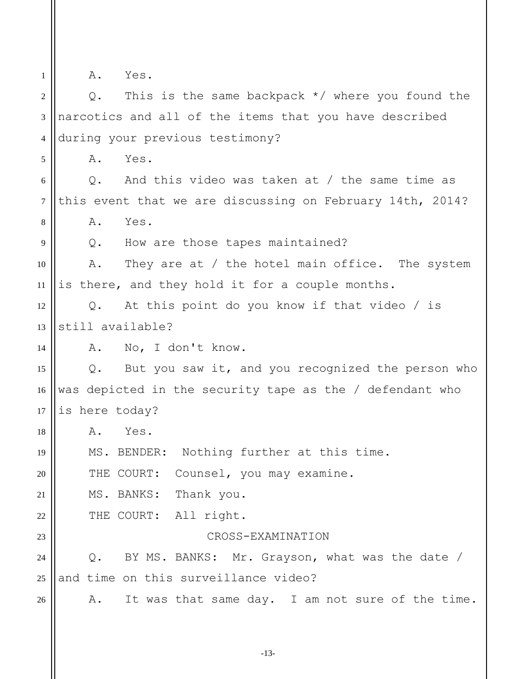1

5

9

14

18

19

A. Yes.

2 3 4 Q. This is the same backpack  $*/$  where you found the narcotics and all of the items that you have described during your previous testimony?

A. Yes.

6 7 8 Q. And this video was taken at / the same time as this event that we are discussing on February 14th, 2014? A. Yes.

Q. How are those tapes maintained?

10 11 A. They are at / the hotel main office. The system is there, and they hold it for a couple months.

12 13 Q. At this point do you know if that video / is still available?

A. No, I don't know.

15 16 17 Q. But you saw it, and you recognized the person who was depicted in the security tape as the / defendant who is here today?

A. Yes.

MS. BENDER: Nothing further at this time.

20 THE COURT: Counsel, you may examine.

21 MS. BANKS: Thank you.

22 THE COURT: All right.

## CROSS-EXAMINATION

24 25 Q. BY MS. BANKS: Mr. Grayson, what was the date / and time on this surveillance video?

26

23

-13-

A. It was that same day. I am not sure of the time.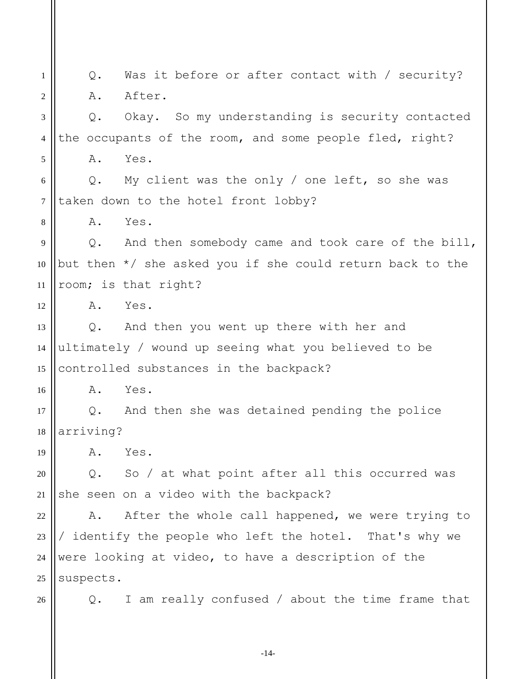1 2 3 4 5 6 7 8 9 10 11 12 13 14 15 16 17 18 19 20 21 22 23 24 25 26 Q. Was it before or after contact with / security? A. After. Q. Okay. So my understanding is security contacted the occupants of the room, and some people fled, right? A. Yes. Q. My client was the only / one left, so she was taken down to the hotel front lobby? A. Yes. Q. And then somebody came and took care of the bill, but then \*/ she asked you if she could return back to the room; is that right? A. Yes. Q. And then you went up there with her and ultimately / wound up seeing what you believed to be controlled substances in the backpack? A. Yes. Q. And then she was detained pending the police arriving? A. Yes. Q. So / at what point after all this occurred was she seen on a video with the backpack? A. After the whole call happened, we were trying to / identify the people who left the hotel. That's why we were looking at video, to have a description of the suspects. Q. I am really confused / about the time frame that

-14-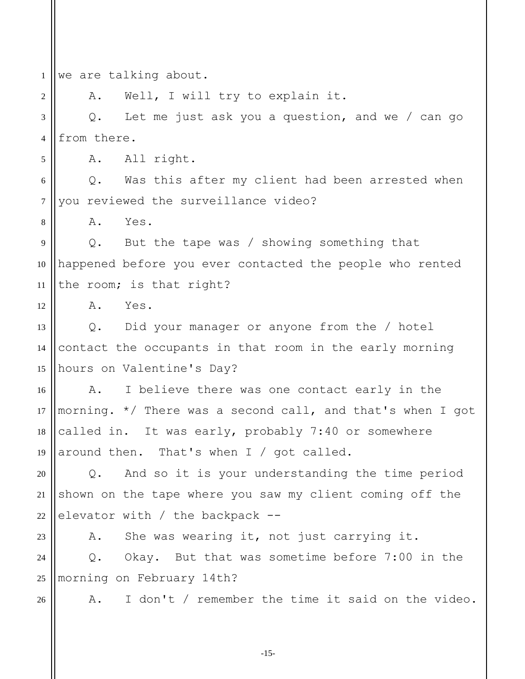1 2 3 4 5 6 7 8 9 10 11 12 13 14 15 16 17 18 19 20 21 22 23  $24$ 25 26 we are talking about. A. Well, I will try to explain it. Q. Let me just ask you a question, and we / can go from there. A. All right. Q. Was this after my client had been arrested when you reviewed the surveillance video? A. Yes. Q. But the tape was / showing something that happened before you ever contacted the people who rented the room; is that right? A. Yes. Q. Did your manager or anyone from the / hotel contact the occupants in that room in the early morning hours on Valentine's Day? A. I believe there was one contact early in the morning. \*/ There was a second call, and that's when I got called in. It was early, probably 7:40 or somewhere around then. That's when I / got called. Q. And so it is your understanding the time period shown on the tape where you saw my client coming off the elevator with / the backpack -- A. She was wearing it, not just carrying it. Q. Okay. But that was sometime before 7:00 in the morning on February 14th? A. I don't / remember the time it said on the video.

-15-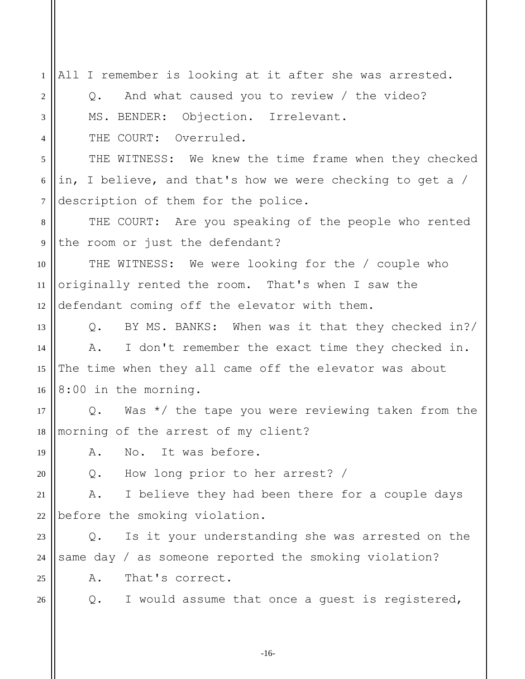1 2 3 4 5 6 7 8 9 10 11 12 13 14 15 16 17 18 19 20 21 22 23 24 25 26 All I remember is looking at it after she was arrested. Q. And what caused you to review / the video? MS. BENDER: Objection. Irrelevant. THE COURT: Overruled. THE WITNESS: We knew the time frame when they checked in, I believe, and that's how we were checking to get a / description of them for the police. THE COURT: Are you speaking of the people who rented the room or just the defendant? THE WITNESS: We were looking for the / couple who originally rented the room. That's when I saw the defendant coming off the elevator with them. Q. BY MS. BANKS: When was it that they checked in?/ A. I don't remember the exact time they checked in. The time when they all came off the elevator was about 8:00 in the morning. Q. Was \*/ the tape you were reviewing taken from the morning of the arrest of my client? A. No. It was before. Q. How long prior to her arrest? / A. I believe they had been there for a couple days before the smoking violation. Q. Is it your understanding she was arrested on the same day / as someone reported the smoking violation? A. That's correct. Q. I would assume that once a guest is registered,

-16-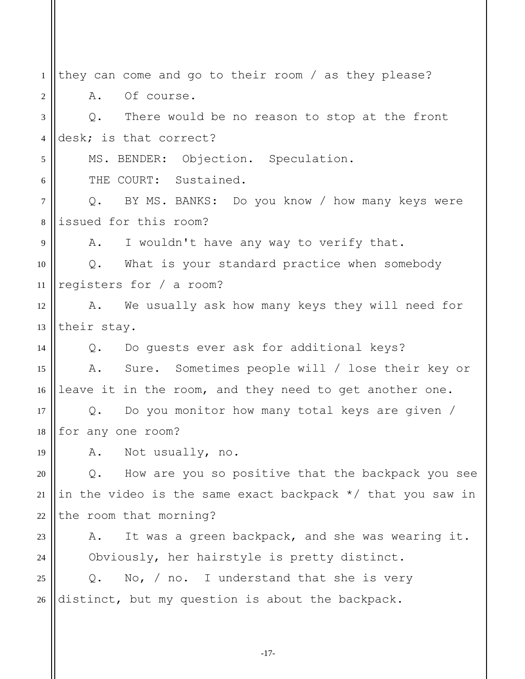1 2 3 4 5 6 7 8 9 10 11 12 13 14 15 16 17 18 19 20 21 22 23 24 25 26 they can come and go to their room / as they please? A. Of course. Q. There would be no reason to stop at the front desk; is that correct? MS. BENDER: Objection. Speculation. THE COURT: Sustained. Q. BY MS. BANKS: Do you know / how many keys were issued for this room? A. I wouldn't have any way to verify that. Q. What is your standard practice when somebody registers for / a room? A. We usually ask how many keys they will need for their stay. Q. Do guests ever ask for additional keys? A. Sure. Sometimes people will / lose their key or leave it in the room, and they need to get another one. Q. Do you monitor how many total keys are given / for any one room? A. Not usually, no. Q. How are you so positive that the backpack you see in the video is the same exact backpack \*/ that you saw in the room that morning? A. It was a green backpack, and she was wearing it. Obviously, her hairstyle is pretty distinct. Q. No, / no. I understand that she is very distinct, but my question is about the backpack.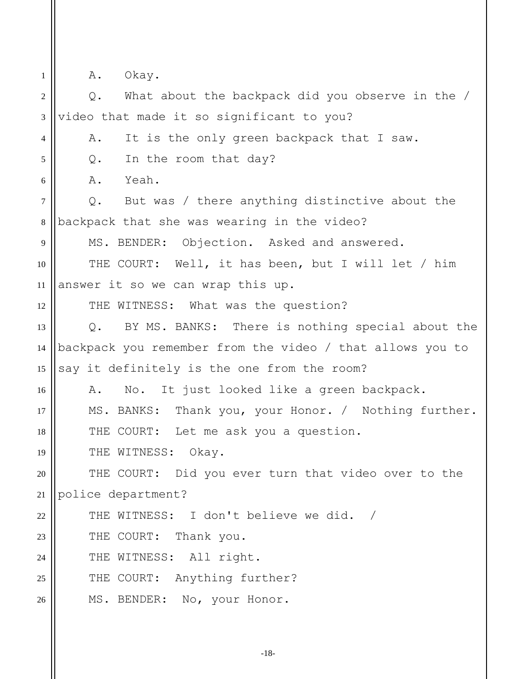1

4

5

6

9

12

16

17

18

 $24$ 

A. Okay.

2 3 Q. What about the backpack did you observe in the / video that made it so significant to you?

A. It is the only green backpack that I saw.

Q. In the room that day?

A. Yeah.

7 8 Q. But was / there anything distinctive about the backpack that she was wearing in the video?

MS. BENDER: Objection. Asked and answered.

10 11 THE COURT: Well, it has been, but I will let / him answer it so we can wrap this up.

THE WITNESS: What was the question?

13 14 15 Q. BY MS. BANKS: There is nothing special about the backpack you remember from the video / that allows you to say it definitely is the one from the room?

A. No. It just looked like a green backpack.

MS. BANKS: Thank you, your Honor. / Nothing further. THE COURT: Let me ask you a question.

19 THE WITNESS: Okay.

20 21 THE COURT: Did you ever turn that video over to the police department?

22 THE WITNESS: I don't believe we did.

23 THE COURT: Thank you.

THE WITNESS: All right.

25 THE COURT: Anything further?

26 MS. BENDER: No, your Honor.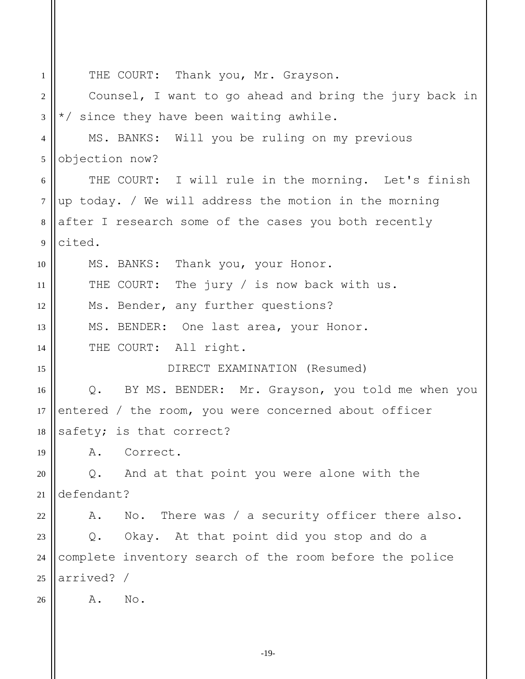1 2 3 4 5 6 7 8 9 10 11 12 13 14 15 16 17 18 19 20 21 22 23 24 25 26 THE COURT: Thank you, Mr. Grayson. Counsel, I want to go ahead and bring the jury back in \*/ since they have been waiting awhile. MS. BANKS: Will you be ruling on my previous objection now? THE COURT: I will rule in the morning. Let's finish up today. / We will address the motion in the morning after I research some of the cases you both recently cited. MS. BANKS: Thank you, your Honor. THE COURT: The jury / is now back with us. Ms. Bender, any further questions? MS. BENDER: One last area, your Honor. THE COURT: All right. DIRECT EXAMINATION (Resumed) Q. BY MS. BENDER: Mr. Grayson, you told me when you entered / the room, you were concerned about officer safety; is that correct? A. Correct. Q. And at that point you were alone with the defendant? A. No. There was / a security officer there also. Q. Okay. At that point did you stop and do a complete inventory search of the room before the police arrived? / A. No.

-19-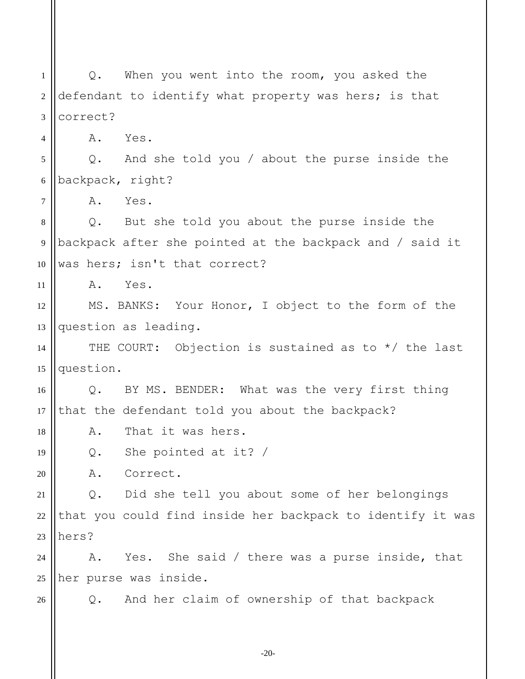2 3 4 5 6 7 8 9 10 11 12 13 14 15 16 17 18 19 20 21 22 23  $24$ 25 26 defendant to identify what property was hers; is that correct? A. Yes. Q. And she told you / about the purse inside the backpack, right? A. Yes. Q. But she told you about the purse inside the backpack after she pointed at the backpack and / said it was hers; isn't that correct? A. Yes. MS. BANKS: Your Honor, I object to the form of the question as leading. THE COURT: Objection is sustained as to \*/ the last question. Q. BY MS. BENDER: What was the very first thing that the defendant told you about the backpack? A. That it was hers. Q. She pointed at it? / A. Correct. Q. Did she tell you about some of her belongings that you could find inside her backpack to identify it was hers? A. Yes. She said / there was a purse inside, that her purse was inside. Q. And her claim of ownership of that backpack

Q. When you went into the room, you asked the

1

-20-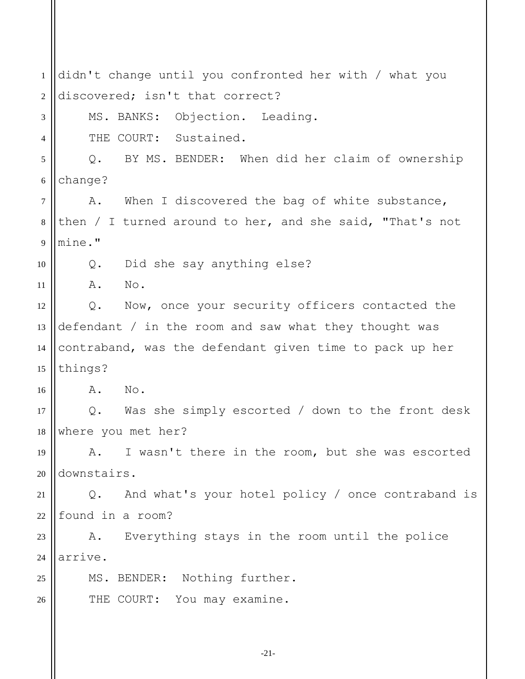1 2 3 4 5 6 7 8 9 10 11 12 13 14 15 16 17 18 19 20 21 22 23 24 25 26 didn't change until you confronted her with / what you discovered; isn't that correct? MS. BANKS: Objection. Leading. THE COURT: Sustained. Q. BY MS. BENDER: When did her claim of ownership change? A. When I discovered the bag of white substance, then / I turned around to her, and she said, "That's not mine." Q. Did she say anything else? A. No. Q. Now, once your security officers contacted the defendant / in the room and saw what they thought was contraband, was the defendant given time to pack up her things? A. No. Q. Was she simply escorted / down to the front desk where you met her? A. I wasn't there in the room, but she was escorted downstairs. Q. And what's your hotel policy / once contraband is found in a room? A. Everything stays in the room until the police arrive. MS. BENDER: Nothing further. THE COURT: You may examine.